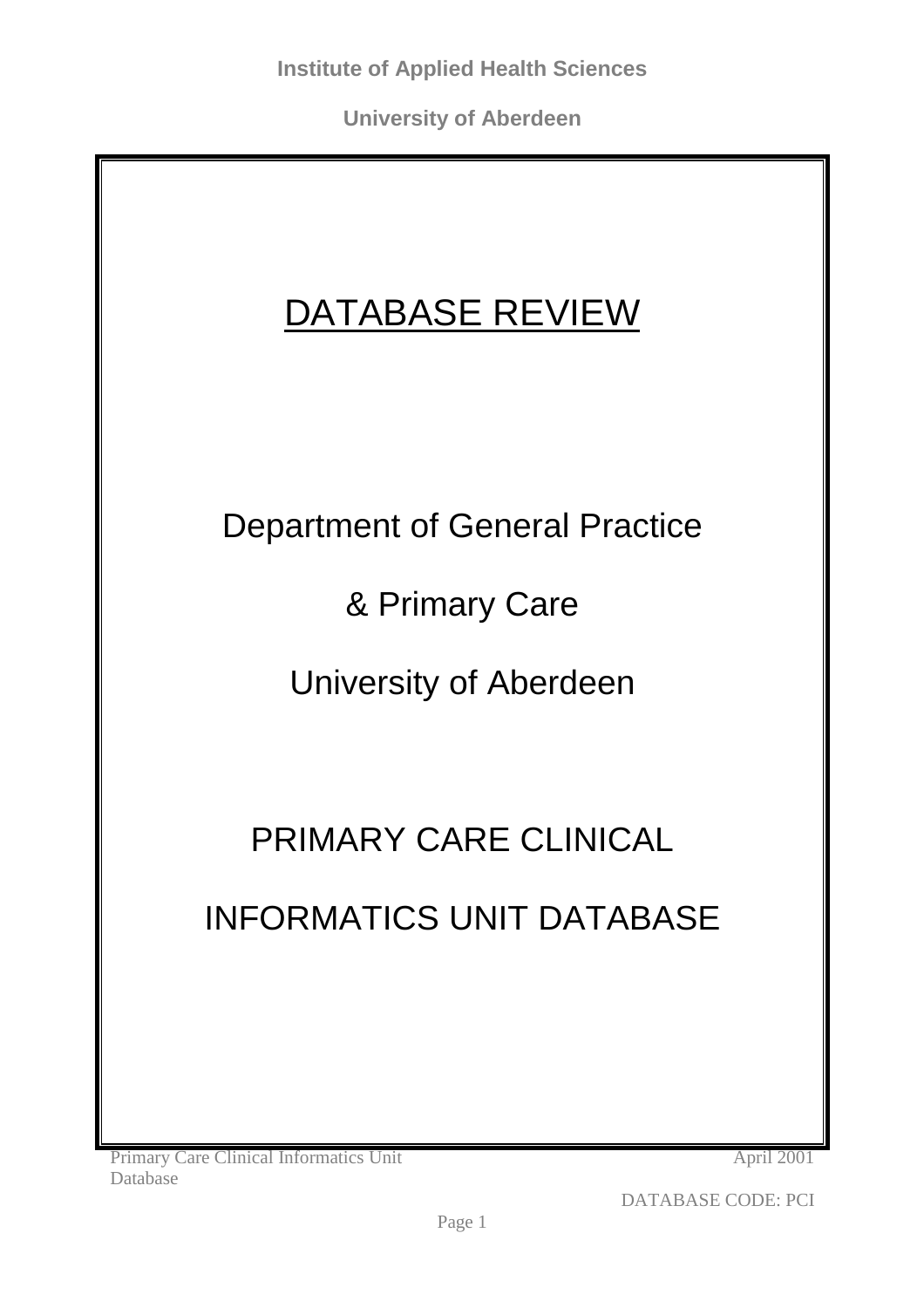# DATABASE REVIEW

## Department of General Practice

& Primary Care

University of Aberdeen

# PRIMARY CARE CLINICAL

# INFORMATICS UNIT DATABASE

Primary Care Clinical Informatics Unit Database

April 2001

DATABASE CODE: PCI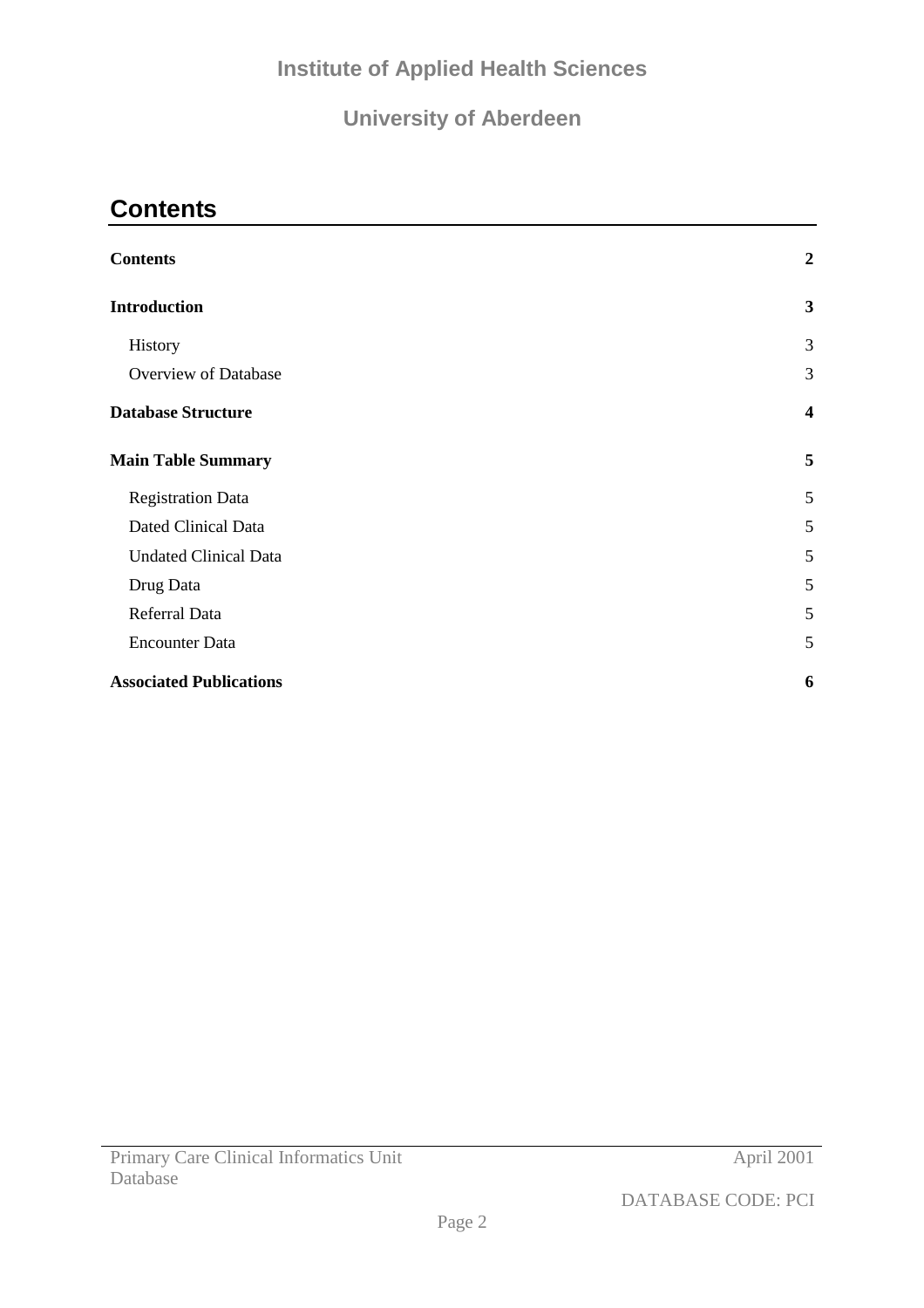## **Institute of Applied Health Sciences**

## **University of Aberdeen**

## **Contents**

| <b>Contents</b>                | $\boldsymbol{2}$        |
|--------------------------------|-------------------------|
| <b>Introduction</b>            | 3                       |
| History                        | 3                       |
| Overview of Database           | 3                       |
| <b>Database Structure</b>      | $\overline{\mathbf{4}}$ |
| <b>Main Table Summary</b>      | 5                       |
| <b>Registration Data</b>       | 5                       |
| <b>Dated Clinical Data</b>     | 5                       |
| <b>Undated Clinical Data</b>   | 5                       |
| Drug Data                      | 5                       |
| Referral Data                  | 5                       |
| <b>Encounter Data</b>          | 5                       |
| <b>Associated Publications</b> | 6                       |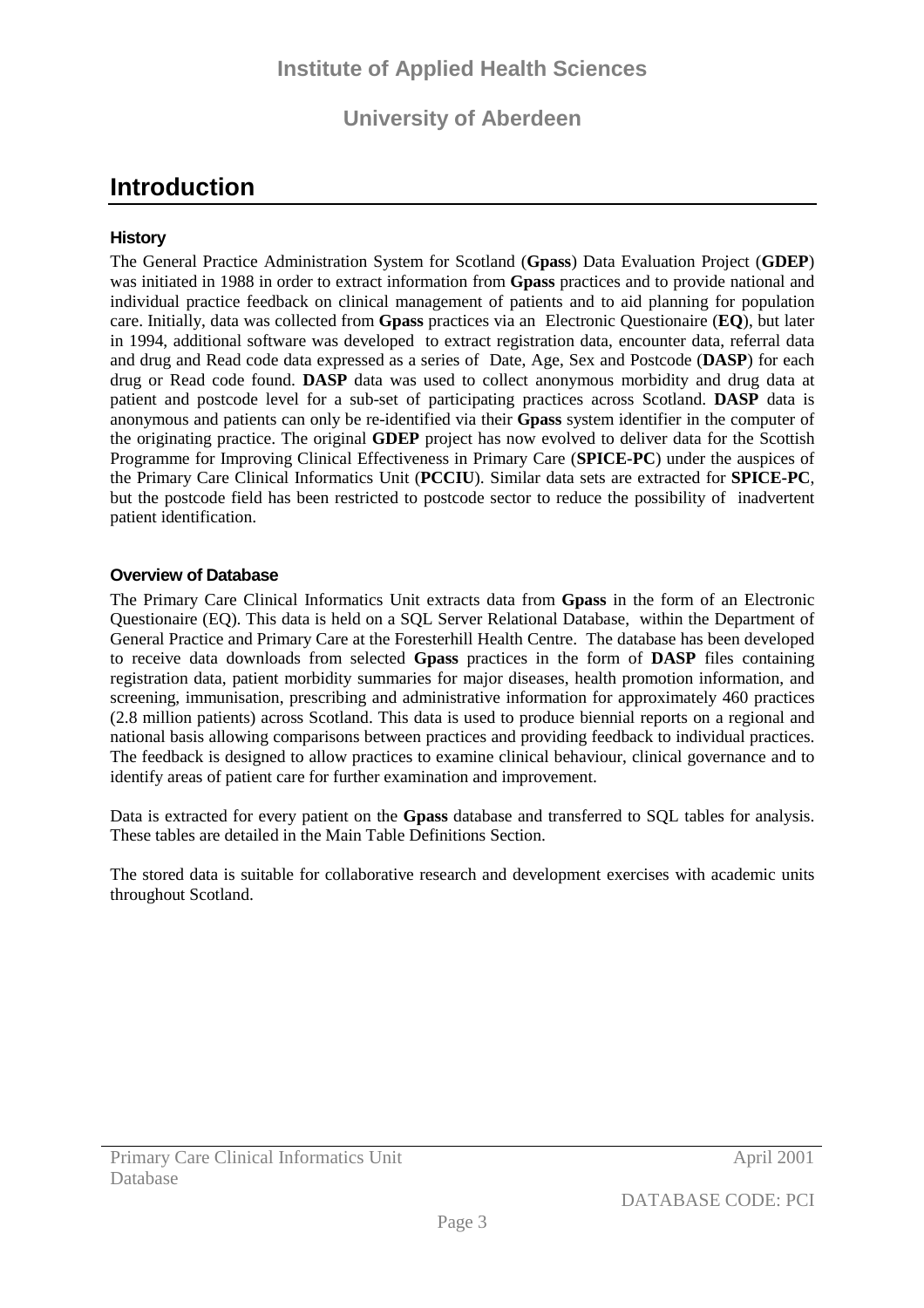## <span id="page-2-0"></span>**Introduction**

#### **History**

The General Practice Administration System for Scotland (**Gpass**) Data Evaluation Project (**GDEP**) was initiated in 1988 in order to extract information from **Gpass** practices and to provide national and individual practice feedback on clinical management of patients and to aid planning for population care. Initially, data was collected from **Gpass** practices via an Electronic Questionaire (**EQ**), but later in 1994, additional software was developed to extract registration data, encounter data, referral data and drug and Read code data expressed as a series of Date, Age, Sex and Postcode (**DASP**) for each drug or Read code found. **DASP** data was used to collect anonymous morbidity and drug data at patient and postcode level for a sub-set of participating practices across Scotland. **DASP** data is anonymous and patients can only be re-identified via their **Gpass** system identifier in the computer of the originating practice. The original **GDEP** project has now evolved to deliver data for the Scottish Programme for Improving Clinical Effectiveness in Primary Care (**SPICE-PC**) under the auspices of the Primary Care Clinical Informatics Unit (**PCCIU**). Similar data sets are extracted for **SPICE-PC**, but the postcode field has been restricted to postcode sector to reduce the possibility of inadvertent patient identification.

#### **Overview of Database**

The Primary Care Clinical Informatics Unit extracts data from **Gpass** in the form of an Electronic Questionaire (EQ). This data is held on a SQL Server Relational Database, within the Department of General Practice and Primary Care at the Foresterhill Health Centre. The database has been developed to receive data downloads from selected **Gpass** practices in the form of **DASP** files containing registration data, patient morbidity summaries for major diseases, health promotion information, and screening, immunisation, prescribing and administrative information for approximately 460 practices (2.8 million patients) across Scotland. This data is used to produce biennial reports on a regional and national basis allowing comparisons between practices and providing feedback to individual practices. The feedback is designed to allow practices to examine clinical behaviour, clinical governance and to identify areas of patient care for further examination and improvement.

Data is extracted for every patient on the **Gpass** database and transferred to SQL tables for analysis. These tables are detailed in the Main Table Definitions Section.

The stored data is suitable for collaborative research and development exercises with academic units throughout Scotland.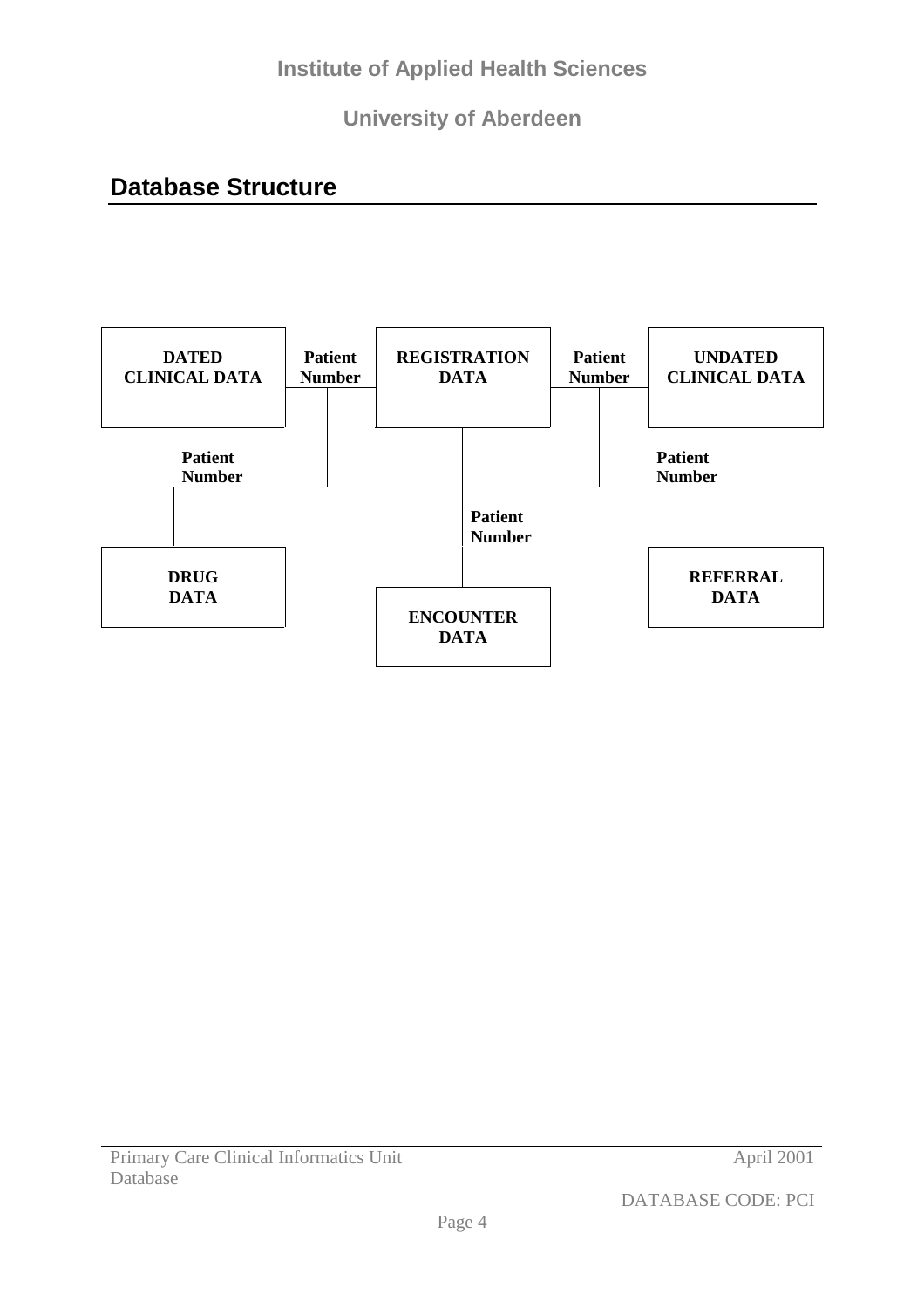## <span id="page-3-0"></span>**Database Structure**

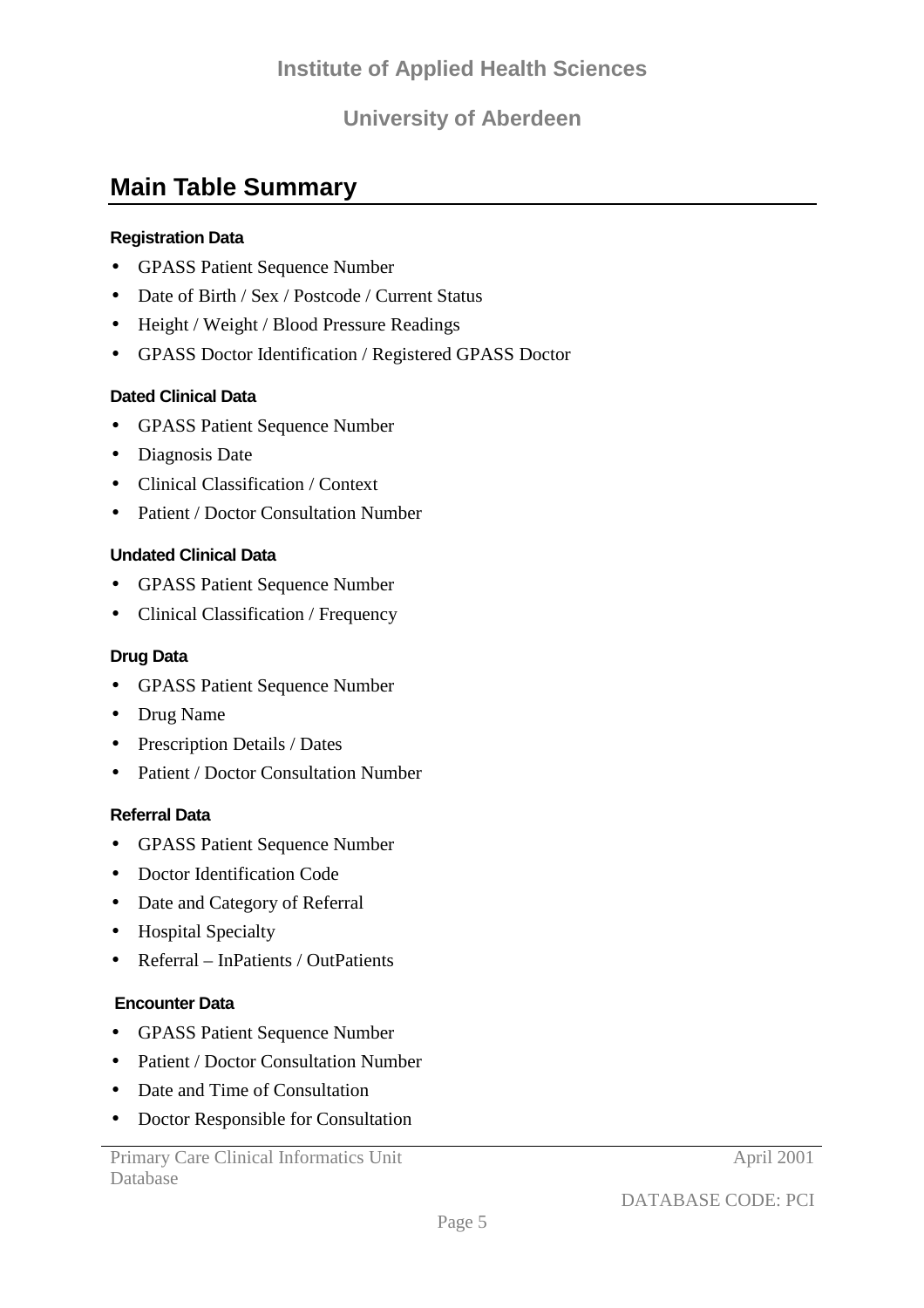## <span id="page-4-0"></span>**Main Table Summary**

#### **Registration Data**

- GPASS Patient Sequence Number
- Date of Birth / Sex / Postcode / Current Status
- Height / Weight / Blood Pressure Readings
- GPASS Doctor Identification / Registered GPASS Doctor

#### **Dated Clinical Data**

- GPASS Patient Sequence Number
- Diagnosis Date
- Clinical Classification / Context
- Patient / Doctor Consultation Number

#### **Undated Clinical Data**

- GPASS Patient Sequence Number
- Clinical Classification / Frequency

#### **Drug Data**

- GPASS Patient Sequence Number
- Drug Name
- Prescription Details / Dates
- Patient / Doctor Consultation Number

#### **Referral Data**

- GPASS Patient Sequence Number
- Doctor Identification Code
- Date and Category of Referral
- Hospital Specialty
- Referral InPatients / OutPatients

#### **Encounter Data**

- GPASS Patient Sequence Number
- Patient / Doctor Consultation Number
- Date and Time of Consultation
- Doctor Responsible for Consultation

Primary Care Clinical Informatics Unit Database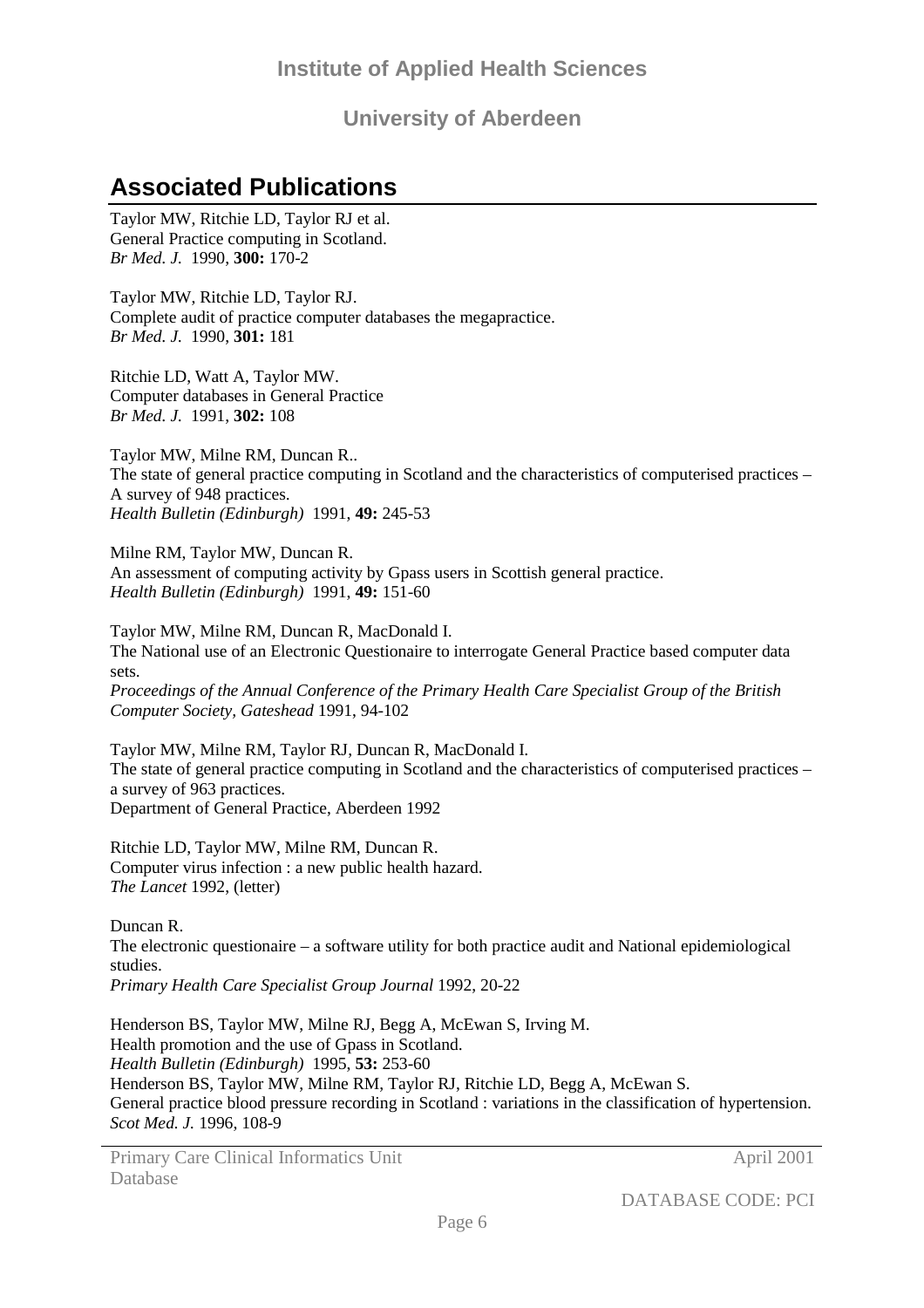## <span id="page-5-0"></span>**Associated Publications**

Taylor MW, Ritchie LD, Taylor RJ et al. General Practice computing in Scotland. *Br Med. J.* 1990, **300:** 170-2

Taylor MW, Ritchie LD, Taylor RJ. Complete audit of practice computer databases the megapractice. *Br Med. J.* 1990, **301:** 181

Ritchie LD, Watt A, Taylor MW. Computer databases in General Practice *Br Med. J.* 1991, **302:** 108

Taylor MW, Milne RM, Duncan R.. The state of general practice computing in Scotland and the characteristics of computerised practices – A survey of 948 practices. *Health Bulletin (Edinburgh)* 1991, **49:** 245-53

Milne RM, Taylor MW, Duncan R. An assessment of computing activity by Gpass users in Scottish general practice. *Health Bulletin (Edinburgh)* 1991, **49:** 151-60

Taylor MW, Milne RM, Duncan R, MacDonald I. The National use of an Electronic Questionaire to interrogate General Practice based computer data sets.

*Proceedings of the Annual Conference of the Primary Health Care Specialist Group of the British Computer Society, Gateshead* 1991, 94-102

Taylor MW, Milne RM, Taylor RJ, Duncan R, MacDonald I. The state of general practice computing in Scotland and the characteristics of computerised practices – a survey of 963 practices. Department of General Practice, Aberdeen 1992

Ritchie LD, Taylor MW, Milne RM, Duncan R. Computer virus infection : a new public health hazard. *The Lancet* 1992, (letter)

Duncan R. The electronic questionaire – a software utility for both practice audit and National epidemiological studies. *Primary Health Care Specialist Group Journal* 1992, 20-22

Henderson BS, Taylor MW, Milne RJ, Begg A, McEwan S, Irving M. Health promotion and the use of Gpass in Scotland. *Health Bulletin (Edinburgh)* 1995, **53:** 253-60 Henderson BS, Taylor MW, Milne RM, Taylor RJ, Ritchie LD, Begg A, McEwan S. General practice blood pressure recording in Scotland : variations in the classification of hypertension. *Scot Med. J.* 1996, 108-9

Primary Care Clinical Informatics Unit Database